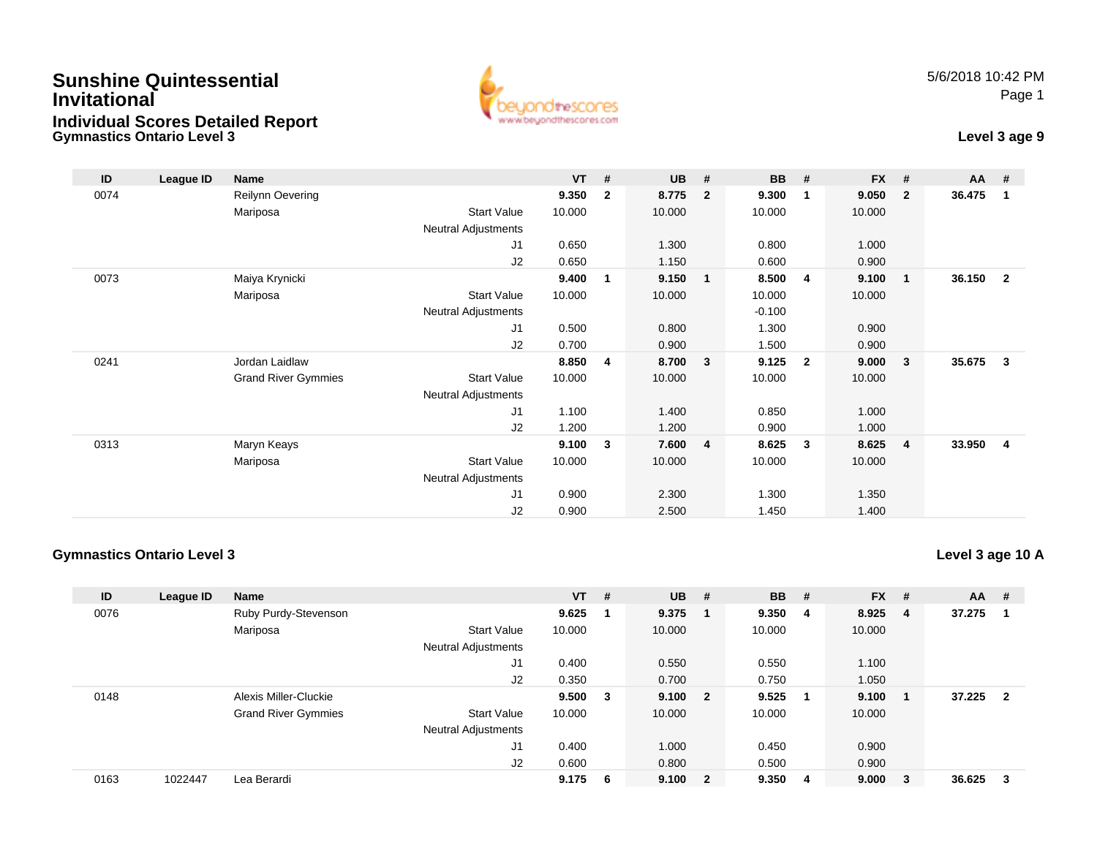#### **Gymnastics Ontario Level 3Sunshine QuintessentialInvitationalIndividual Scores Detailed Report**



## **Level 3 age 9**

| ID   | League ID | Name                       |                            | $VT$ # |                | <b>UB</b> | #              | <b>BB</b> | #              | <b>FX</b> | #                       | $AA$ # |                         |
|------|-----------|----------------------------|----------------------------|--------|----------------|-----------|----------------|-----------|----------------|-----------|-------------------------|--------|-------------------------|
| 0074 |           | Reilynn Oevering           |                            | 9.350  | $\overline{2}$ | 8.775     | $\overline{2}$ | 9.300     | -1             | 9.050     | $\overline{2}$          | 36.475 | 1                       |
|      |           | Mariposa                   | <b>Start Value</b>         | 10.000 |                | 10.000    |                | 10.000    |                | 10.000    |                         |        |                         |
|      |           |                            | <b>Neutral Adjustments</b> |        |                |           |                |           |                |           |                         |        |                         |
|      |           |                            | J1                         | 0.650  |                | 1.300     |                | 0.800     |                | 1.000     |                         |        |                         |
|      |           |                            | J2                         | 0.650  |                | 1.150     |                | 0.600     |                | 0.900     |                         |        |                         |
| 0073 |           | Maiya Krynicki             |                            | 9.400  | 1              | 9.150     | $\mathbf{1}$   | 8.500     | $\overline{4}$ | 9.100     | $\overline{\mathbf{1}}$ | 36.150 | $\overline{\mathbf{2}}$ |
|      |           | Mariposa                   | <b>Start Value</b>         | 10.000 |                | 10.000    |                | 10.000    |                | 10.000    |                         |        |                         |
|      |           |                            | Neutral Adjustments        |        |                |           |                | $-0.100$  |                |           |                         |        |                         |
|      |           |                            | J1                         | 0.500  |                | 0.800     |                | 1.300     |                | 0.900     |                         |        |                         |
|      |           |                            | J2                         | 0.700  |                | 0.900     |                | 1.500     |                | 0.900     |                         |        |                         |
| 0241 |           | Jordan Laidlaw             |                            | 8.850  | 4              | 8.700     | $\mathbf{3}$   | 9.125     | $\overline{2}$ | 9.000     | $\mathbf{3}$            | 35.675 | 3                       |
|      |           | <b>Grand River Gymmies</b> | <b>Start Value</b>         | 10.000 |                | 10.000    |                | 10.000    |                | 10.000    |                         |        |                         |
|      |           |                            | Neutral Adjustments        |        |                |           |                |           |                |           |                         |        |                         |
|      |           |                            | J1                         | 1.100  |                | 1.400     |                | 0.850     |                | 1.000     |                         |        |                         |
|      |           |                            | J2                         | 1.200  |                | 1.200     |                | 0.900     |                | 1.000     |                         |        |                         |
| 0313 |           | Maryn Keays                |                            | 9.100  | 3              | 7.600     | $\overline{4}$ | 8.625     | $\mathbf{3}$   | 8.625     | $\overline{4}$          | 33.950 | 4                       |
|      |           | Mariposa                   | <b>Start Value</b>         | 10.000 |                | 10.000    |                | 10.000    |                | 10.000    |                         |        |                         |
|      |           |                            | Neutral Adjustments        |        |                |           |                |           |                |           |                         |        |                         |
|      |           |                            | J1                         | 0.900  |                | 2.300     |                | 1.300     |                | 1.350     |                         |        |                         |
|      |           |                            | J <sub>2</sub>             | 0.900  |                | 2.500     |                | 1.450     |                | 1.400     |                         |        |                         |

#### **Gymnastics Ontario Level 3**

**Level 3 age 10 A**

| ID   | League ID | <b>Name</b>                |                            | $VT$ # |     | <b>UB</b> | - # | <b>BB</b> | #  | <b>FX</b> | #  | AA     | -#  |
|------|-----------|----------------------------|----------------------------|--------|-----|-----------|-----|-----------|----|-----------|----|--------|-----|
| 0076 |           | Ruby Purdy-Stevenson       |                            | 9.625  |     | 9.375     |     | 9.350     | -4 | 8.925     | -4 | 37.275 |     |
|      |           | Mariposa                   | <b>Start Value</b>         | 10.000 |     | 10.000    |     | 10.000    |    | 10.000    |    |        |     |
|      |           |                            | <b>Neutral Adjustments</b> |        |     |           |     |           |    |           |    |        |     |
|      |           |                            | J1                         | 0.400  |     | 0.550     |     | 0.550     |    | 1.100     |    |        |     |
|      |           |                            | J2                         | 0.350  |     | 0.700     |     | 0.750     |    | 1.050     |    |        |     |
| 0148 |           | Alexis Miller-Cluckie      |                            | 9.500  | 3   | 9.100 2   |     | 9.525     |    | 9.100     |    | 37.225 | - 2 |
|      |           | <b>Grand River Gymmies</b> | <b>Start Value</b>         | 10.000 |     | 10.000    |     | 10.000    |    | 10.000    |    |        |     |
|      |           |                            | <b>Neutral Adjustments</b> |        |     |           |     |           |    |           |    |        |     |
|      |           |                            | J <sub>1</sub>             | 0.400  |     | 1.000     |     | 0.450     |    | 0.900     |    |        |     |
|      |           |                            | J2                         | 0.600  |     | 0.800     |     | 0.500     |    | 0.900     |    |        |     |
| 0163 | 1022447   | Lea Berardi                |                            | 9.175  | - 6 | 9.100 2   |     | 9.350     | 4  | 9.000     | 3  | 36.625 | -3  |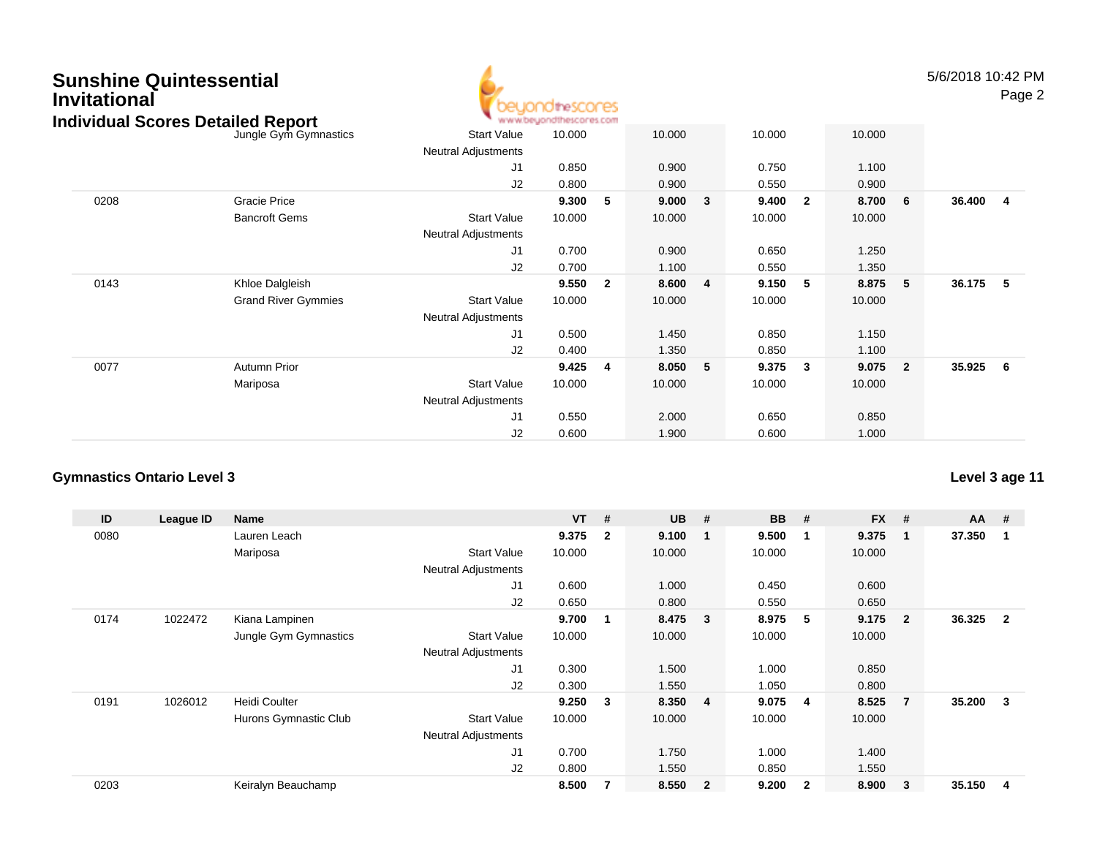| <b>Sunshine Quintessential</b><br><b>Invitational</b><br><b>Individual Scores Detailed Report</b> |                            |                            | beyondthescores<br>www.beyondthescores.com |                         |        |   |        |              |        |                | 5/6/2018 10:42 PM | Page 2 |
|---------------------------------------------------------------------------------------------------|----------------------------|----------------------------|--------------------------------------------|-------------------------|--------|---|--------|--------------|--------|----------------|-------------------|--------|
|                                                                                                   | Jungle Gym Gymnastics      | <b>Start Value</b>         | 10.000                                     |                         | 10.000 |   | 10.000 |              | 10.000 |                |                   |        |
|                                                                                                   |                            | <b>Neutral Adjustments</b> |                                            |                         |        |   |        |              |        |                |                   |        |
|                                                                                                   |                            | J1                         | 0.850                                      |                         | 0.900  |   | 0.750  |              | 1.100  |                |                   |        |
|                                                                                                   |                            | J <sub>2</sub>             | 0.800                                      |                         | 0.900  |   | 0.550  |              | 0.900  |                |                   |        |
| 0208                                                                                              | Gracie Price               |                            | 9.300                                      | -5                      | 9.000  | 3 | 9.400  | $\mathbf{2}$ | 8.700  | - 6            | 36.400            | -4     |
|                                                                                                   | <b>Bancroft Gems</b>       | <b>Start Value</b>         | 10.000                                     |                         | 10.000 |   | 10.000 |              | 10.000 |                |                   |        |
|                                                                                                   |                            | <b>Neutral Adjustments</b> |                                            |                         |        |   |        |              |        |                |                   |        |
|                                                                                                   |                            | J1                         | 0.700                                      |                         | 0.900  |   | 0.650  |              | 1.250  |                |                   |        |
|                                                                                                   |                            | J <sub>2</sub>             | 0.700                                      |                         | 1.100  |   | 0.550  |              | 1.350  |                |                   |        |
| 0143                                                                                              | Khloe Dalgleish            |                            | 9.550                                      | $\overline{\mathbf{2}}$ | 8.600  | 4 | 9.150  | -5           | 8.875  | 5              | 36.175            | - 5    |
|                                                                                                   | <b>Grand River Gymmies</b> | <b>Start Value</b>         | 10.000                                     |                         | 10.000 |   | 10.000 |              | 10.000 |                |                   |        |
|                                                                                                   |                            | <b>Neutral Adjustments</b> |                                            |                         |        |   |        |              |        |                |                   |        |
|                                                                                                   |                            | J1                         | 0.500                                      |                         | 1.450  |   | 0.850  |              | 1.150  |                |                   |        |
|                                                                                                   |                            | J2                         | 0.400                                      |                         | 1.350  |   | 0.850  |              | 1.100  |                |                   |        |
| 0077                                                                                              | <b>Autumn Prior</b>        |                            | 9.425                                      | -4                      | 8.050  | 5 | 9.375  | 3            | 9.075  | $\overline{2}$ | 35.925            | - 6    |
|                                                                                                   | Mariposa                   | <b>Start Value</b>         | 10.000                                     |                         | 10.000 |   | 10.000 |              | 10.000 |                |                   |        |
|                                                                                                   |                            | <b>Neutral Adjustments</b> |                                            |                         |        |   |        |              |        |                |                   |        |
|                                                                                                   |                            | J1                         | 0.550                                      |                         | 2.000  |   | 0.650  |              | 0.850  |                |                   |        |
|                                                                                                   |                            | J2                         | 0.600                                      |                         | 1.900  |   | 0.600  |              | 1.000  |                |                   |        |

#### **Gymnastics Ontario Level 3Level 3 age 11**

| ID   | League ID | Name                  |                            | <b>VT</b> | #                       | <b>UB</b> | #                       | <b>BB</b> | #            | <b>FX</b> | #              | $AA$ # |                |
|------|-----------|-----------------------|----------------------------|-----------|-------------------------|-----------|-------------------------|-----------|--------------|-----------|----------------|--------|----------------|
| 0080 |           | Lauren Leach          |                            | 9.375     | $\overline{\mathbf{2}}$ | 9.100     | - 1                     | 9.500     | -1           | 9.375     |                | 37.350 |                |
|      |           | Mariposa              | <b>Start Value</b>         | 10.000    |                         | 10.000    |                         | 10.000    |              | 10.000    |                |        |                |
|      |           |                       | <b>Neutral Adjustments</b> |           |                         |           |                         |           |              |           |                |        |                |
|      |           |                       | J <sub>1</sub>             | 0.600     |                         | 1.000     |                         | 0.450     |              | 0.600     |                |        |                |
|      |           |                       | J <sub>2</sub>             | 0.650     |                         | 0.800     |                         | 0.550     |              | 0.650     |                |        |                |
| 0174 | 1022472   | Kiana Lampinen        |                            | 9.700     |                         | 8.475     | $\overline{\mathbf{3}}$ | 8.975     | 5            | 9.175     | $\overline{2}$ | 36.325 | $\overline{2}$ |
|      |           | Jungle Gym Gymnastics | <b>Start Value</b>         | 10.000    |                         | 10.000    |                         | 10.000    |              | 10.000    |                |        |                |
|      |           |                       | <b>Neutral Adjustments</b> |           |                         |           |                         |           |              |           |                |        |                |
|      |           |                       | J <sub>1</sub>             | 0.300     |                         | 1.500     |                         | 1.000     |              | 0.850     |                |        |                |
|      |           |                       | J2                         | 0.300     |                         | 1.550     |                         | 1.050     |              | 0.800     |                |        |                |
| 0191 | 1026012   | <b>Heidi Coulter</b>  |                            | 9.250     | $\mathbf{3}$            | 8.350     | -4                      | 9.075     | -4           | 8.525     | $\overline{7}$ | 35.200 | 3              |
|      |           | Hurons Gymnastic Club | <b>Start Value</b>         | 10.000    |                         | 10.000    |                         | 10.000    |              | 10.000    |                |        |                |
|      |           |                       | <b>Neutral Adjustments</b> |           |                         |           |                         |           |              |           |                |        |                |
|      |           |                       | J <sub>1</sub>             | 0.700     |                         | 1.750     |                         | 1.000     |              | 1.400     |                |        |                |
|      |           |                       | J <sub>2</sub>             | 0.800     |                         | 1.550     |                         | 0.850     |              | 1.550     |                |        |                |
| 0203 |           | Keiralyn Beauchamp    |                            | 8.500     |                         | 8.550     | $\overline{\mathbf{2}}$ | 9.200     | $\mathbf{2}$ | 8.900     | 3              | 35.150 | 4              |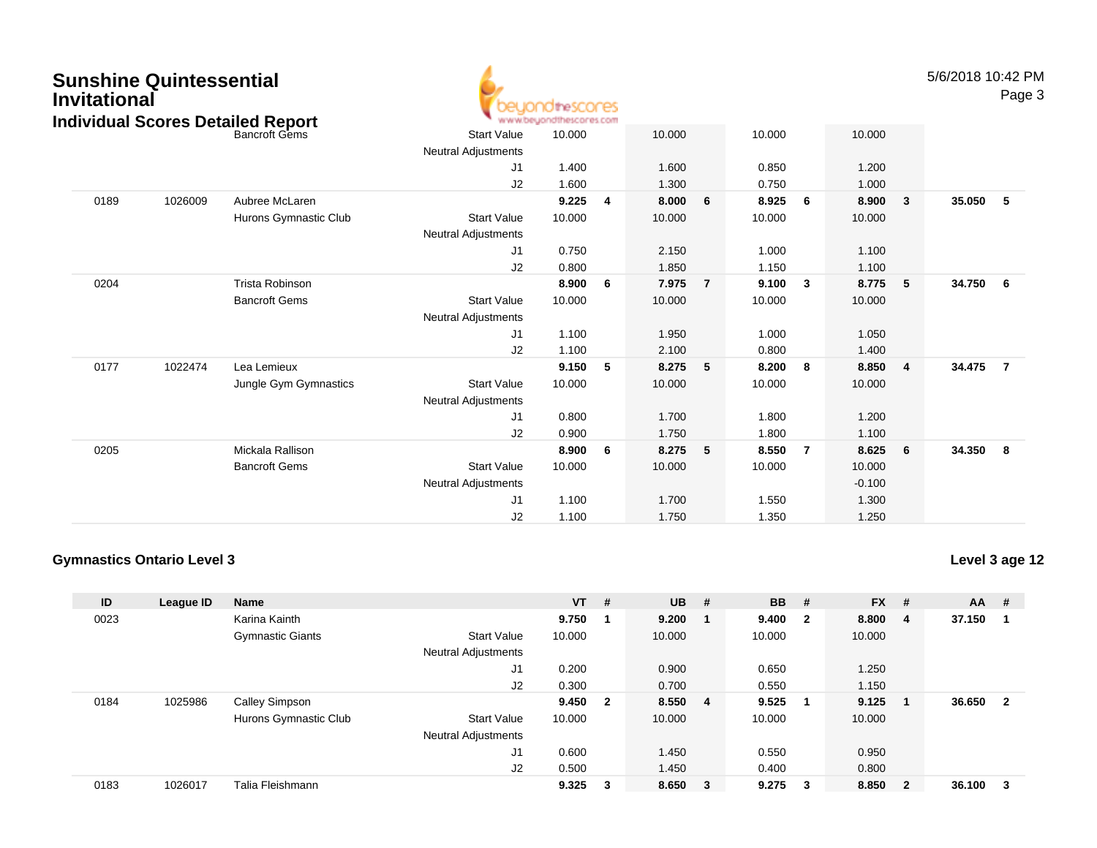| Invitational | <b>Sunshine Quintessential</b> | <b>Individual Scores Detailed Report</b> |                            | hdinescores<br>www.beyondthescores.com |                         |        |                |        |     |          |                | 5/6/2018 10:42 PM | Page 3         |
|--------------|--------------------------------|------------------------------------------|----------------------------|----------------------------------------|-------------------------|--------|----------------|--------|-----|----------|----------------|-------------------|----------------|
|              |                                | <b>Bancroft Gems</b>                     | <b>Start Value</b>         | 10.000                                 |                         | 10.000 |                | 10.000 |     | 10.000   |                |                   |                |
|              |                                |                                          | <b>Neutral Adjustments</b> |                                        |                         |        |                |        |     |          |                |                   |                |
|              |                                |                                          | J <sub>1</sub>             | 1.400                                  |                         | 1.600  |                | 0.850  |     | 1.200    |                |                   |                |
|              |                                |                                          | J2                         | 1.600                                  |                         | 1.300  |                | 0.750  |     | 1.000    |                |                   |                |
| 0189         | 1026009                        | Aubree McLaren                           |                            | 9.225                                  | $\overline{\mathbf{4}}$ | 8.000  | 6              | 8.925  | - 6 | 8.900    | 3              | 35.050            | - 5            |
|              |                                | Hurons Gymnastic Club                    | <b>Start Value</b>         | 10.000                                 |                         | 10.000 |                | 10.000 |     | 10.000   |                |                   |                |
|              |                                |                                          | <b>Neutral Adjustments</b> |                                        |                         |        |                |        |     |          |                |                   |                |
|              |                                |                                          | J <sub>1</sub>             | 0.750                                  |                         | 2.150  |                | 1.000  |     | 1.100    |                |                   |                |
|              |                                |                                          | J2                         | 0.800                                  |                         | 1.850  |                | 1.150  |     | 1.100    |                |                   |                |
| 0204         |                                | Trista Robinson                          |                            | 8.900                                  | 6                       | 7.975  | $\overline{7}$ | 9.100  | 3   | 8.775    | 5              | 34.750            | - 6            |
|              |                                | <b>Bancroft Gems</b>                     | <b>Start Value</b>         | 10.000                                 |                         | 10.000 |                | 10.000 |     | 10.000   |                |                   |                |
|              |                                |                                          | <b>Neutral Adjustments</b> |                                        |                         |        |                |        |     |          |                |                   |                |
|              |                                |                                          | J <sub>1</sub>             | 1.100                                  |                         | 1.950  |                | 1.000  |     | 1.050    |                |                   |                |
|              |                                |                                          | J2                         | 1.100                                  |                         | 2.100  |                | 0.800  |     | 1.400    |                |                   |                |
| 0177         | 1022474                        | Lea Lemieux                              |                            | 9.150                                  | 5                       | 8.275  | 5              | 8.200  | -8  | 8.850    | $\overline{4}$ | 34.475            | $\overline{7}$ |
|              |                                | Jungle Gym Gymnastics                    | <b>Start Value</b>         | 10.000                                 |                         | 10.000 |                | 10.000 |     | 10.000   |                |                   |                |
|              |                                |                                          | <b>Neutral Adjustments</b> |                                        |                         |        |                |        |     |          |                |                   |                |
|              |                                |                                          | J <sub>1</sub>             | 0.800                                  |                         | 1.700  |                | 1.800  |     | 1.200    |                |                   |                |
|              |                                |                                          | J2                         | 0.900                                  |                         | 1.750  |                | 1.800  |     | 1.100    |                |                   |                |
| 0205         |                                | Mickala Rallison                         |                            | 8.900                                  | - 6                     | 8.275  | 5              | 8.550  | -7  | 8.625    | 6              | 34.350            | - 8            |
|              |                                | <b>Bancroft Gems</b>                     | <b>Start Value</b>         | 10.000                                 |                         | 10.000 |                | 10.000 |     | 10.000   |                |                   |                |
|              |                                |                                          | <b>Neutral Adjustments</b> |                                        |                         |        |                |        |     | $-0.100$ |                |                   |                |
|              |                                |                                          | J1                         | 1.100                                  |                         | 1.700  |                | 1.550  |     | 1.300    |                |                   |                |
|              |                                |                                          | J2                         | 1.100                                  |                         | 1.750  |                | 1.350  |     | 1.250    |                |                   |                |

#### **Gymnastics Ontario Level 3**

**Level 3 age 12**

| ID   | League ID | <b>Name</b>             |                            | $VT$ # |                         | <b>UB</b> | - #          | <b>BB</b> | #                       | <b>FX</b> | #            | $AA$ # |                         |
|------|-----------|-------------------------|----------------------------|--------|-------------------------|-----------|--------------|-----------|-------------------------|-----------|--------------|--------|-------------------------|
| 0023 |           | Karina Kainth           |                            | 9.750  |                         | 9.200     |              | 9.400     | $\overline{\mathbf{2}}$ | 8.800     | 4            | 37.150 |                         |
|      |           | <b>Gymnastic Giants</b> | <b>Start Value</b>         | 10.000 |                         | 10.000    |              | 10.000    |                         | 10.000    |              |        |                         |
|      |           |                         | <b>Neutral Adjustments</b> |        |                         |           |              |           |                         |           |              |        |                         |
|      |           |                         | J1                         | 0.200  |                         | 0.900     |              | 0.650     |                         | 1.250     |              |        |                         |
|      |           |                         | J2                         | 0.300  |                         | 0.700     |              | 0.550     |                         | 1.150     |              |        |                         |
| 0184 | 1025986   | Calley Simpson          |                            | 9.450  | $\overline{\mathbf{2}}$ | 8.550     | - 4          | 9.525     |                         | 9.125     |              | 36.650 | $\overline{\mathbf{2}}$ |
|      |           | Hurons Gymnastic Club   | <b>Start Value</b>         | 10.000 |                         | 10.000    |              | 10.000    |                         | 10.000    |              |        |                         |
|      |           |                         | <b>Neutral Adjustments</b> |        |                         |           |              |           |                         |           |              |        |                         |
|      |           |                         | J1                         | 0.600  |                         | 1.450     |              | 0.550     |                         | 0.950     |              |        |                         |
|      |           |                         | J2                         | 0.500  |                         | 1.450     |              | 0.400     |                         | 0.800     |              |        |                         |
| 0183 | 1026017   | Talia Fleishmann        |                            | 9.325  | 3                       | 8.650     | $\mathbf{3}$ | 9.275     | -3                      | 8.850     | $\mathbf{2}$ | 36.100 | 3                       |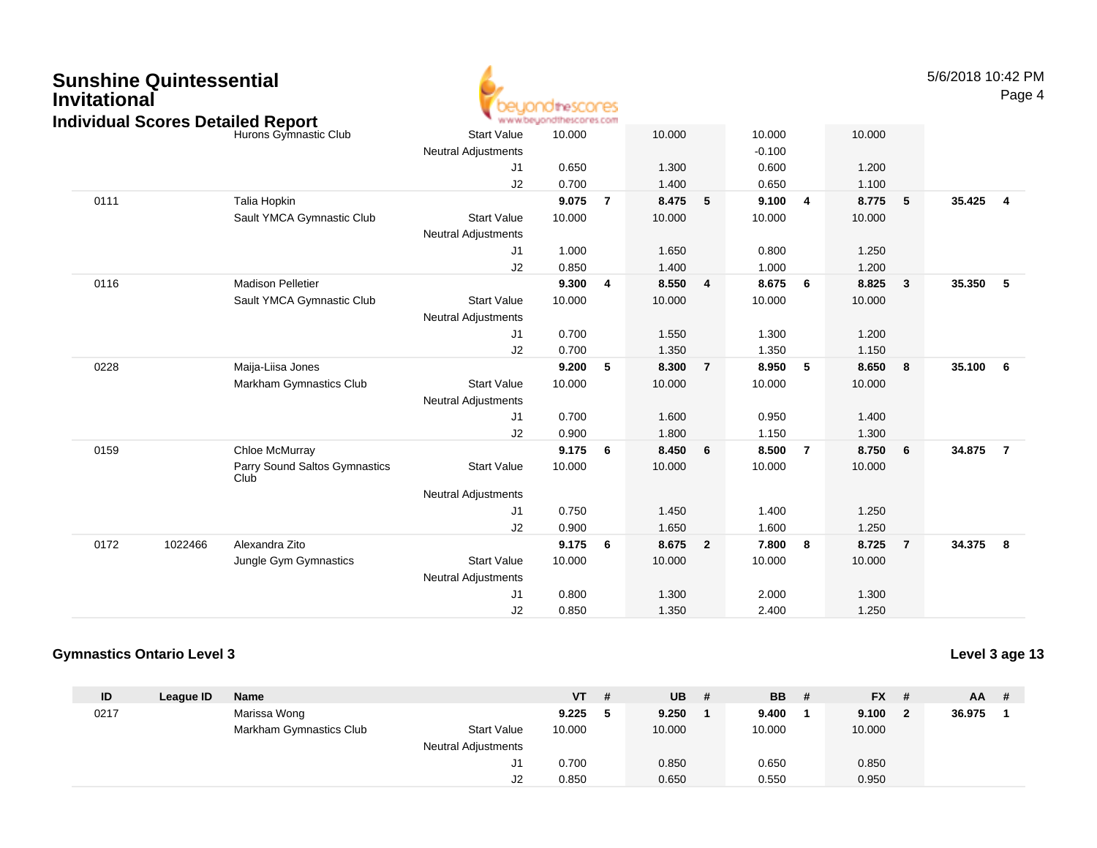| <b>Sunshine Quintessential</b><br><b>Invitational</b><br><b>Individual Scores Detailed Report</b> |         |                                       |                            | dtheSCOCES<br>www.beyondthescores.com |                 |        |                |          |                |        |                 | 5/6/2018 10:42 PM | Page 4         |
|---------------------------------------------------------------------------------------------------|---------|---------------------------------------|----------------------------|---------------------------------------|-----------------|--------|----------------|----------|----------------|--------|-----------------|-------------------|----------------|
|                                                                                                   |         | Hurons Gymnastic Club                 | <b>Start Value</b>         | 10.000                                |                 | 10.000 |                | 10.000   |                | 10.000 |                 |                   |                |
|                                                                                                   |         |                                       | Neutral Adjustments        |                                       |                 |        |                | $-0.100$ |                |        |                 |                   |                |
|                                                                                                   |         |                                       | J1                         | 0.650                                 |                 | 1.300  |                | 0.600    |                | 1.200  |                 |                   |                |
|                                                                                                   |         |                                       | J2                         | 0.700                                 |                 | 1.400  |                | 0.650    |                | 1.100  |                 |                   |                |
| 0111                                                                                              |         | Talia Hopkin                          |                            | 9.075                                 | $\overline{7}$  | 8.475  | 5              | 9.100    | $\overline{4}$ | 8.775  | $5\phantom{.0}$ | 35.425            | $\overline{4}$ |
|                                                                                                   |         | Sault YMCA Gymnastic Club             | <b>Start Value</b>         | 10.000                                |                 | 10.000 |                | 10.000   |                | 10.000 |                 |                   |                |
|                                                                                                   |         |                                       | Neutral Adjustments        |                                       |                 |        |                |          |                |        |                 |                   |                |
|                                                                                                   |         |                                       | J1                         | 1.000                                 |                 | 1.650  |                | 0.800    |                | 1.250  |                 |                   |                |
|                                                                                                   |         |                                       | J2                         | 0.850                                 |                 | 1.400  |                | 1.000    |                | 1.200  |                 |                   |                |
| 0116                                                                                              |         | <b>Madison Pelletier</b>              |                            | 9.300                                 | $\overline{4}$  | 8.550  | $\overline{4}$ | 8.675    | 6              | 8.825  | $\mathbf{3}$    | 35.350            | 5              |
|                                                                                                   |         | Sault YMCA Gymnastic Club             | <b>Start Value</b>         | 10.000                                |                 | 10.000 |                | 10.000   |                | 10.000 |                 |                   |                |
|                                                                                                   |         |                                       | Neutral Adjustments        |                                       |                 |        |                |          |                |        |                 |                   |                |
|                                                                                                   |         |                                       | J1                         | 0.700                                 |                 | 1.550  |                | 1.300    |                | 1.200  |                 |                   |                |
|                                                                                                   |         |                                       | J2                         | 0.700                                 |                 | 1.350  |                | 1.350    |                | 1.150  |                 |                   |                |
| 0228                                                                                              |         | Maija-Liisa Jones                     |                            | 9.200                                 | 5               | 8.300  | $\overline{7}$ | 8.950    | 5              | 8.650  | 8               | 35.100            | 6              |
|                                                                                                   |         | Markham Gymnastics Club               | <b>Start Value</b>         | 10.000                                |                 | 10.000 |                | 10.000   |                | 10.000 |                 |                   |                |
|                                                                                                   |         |                                       | Neutral Adjustments        |                                       |                 |        |                |          |                |        |                 |                   |                |
|                                                                                                   |         |                                       | J <sub>1</sub>             | 0.700                                 |                 | 1.600  |                | 0.950    |                | 1.400  |                 |                   |                |
|                                                                                                   |         |                                       | J2                         | 0.900                                 |                 | 1.800  |                | 1.150    |                | 1.300  |                 |                   |                |
| 0159                                                                                              |         | Chloe McMurray                        |                            | 9.175                                 | - 6             | 8.450  | 6              | 8.500    | $\overline{7}$ | 8.750  | 6               | 34.875            | $\overline{7}$ |
|                                                                                                   |         | Parry Sound Saltos Gymnastics<br>Club | <b>Start Value</b>         | 10.000                                |                 | 10.000 |                | 10.000   |                | 10.000 |                 |                   |                |
|                                                                                                   |         |                                       | Neutral Adjustments        |                                       |                 |        |                |          |                |        |                 |                   |                |
|                                                                                                   |         |                                       | J <sub>1</sub>             | 0.750                                 |                 | 1.450  |                | 1.400    |                | 1.250  |                 |                   |                |
|                                                                                                   |         |                                       | J2                         | 0.900                                 |                 | 1.650  |                | 1.600    |                | 1.250  |                 |                   |                |
| 0172                                                                                              | 1022466 | Alexandra Zito                        |                            | 9.175                                 | $6\phantom{1}6$ | 8.675  | $\overline{2}$ | 7.800    | 8              | 8.725  | $\overline{7}$  | 34.375            | 8              |
|                                                                                                   |         | Jungle Gym Gymnastics                 | <b>Start Value</b>         | 10.000                                |                 | 10.000 |                | 10.000   |                | 10.000 |                 |                   |                |
|                                                                                                   |         |                                       | <b>Neutral Adjustments</b> |                                       |                 |        |                |          |                |        |                 |                   |                |
|                                                                                                   |         |                                       | J <sub>1</sub>             | 0.800                                 |                 | 1.300  |                | 2.000    |                | 1.300  |                 |                   |                |
|                                                                                                   |         |                                       | J <sub>2</sub>             | 0.850                                 |                 | 1.350  |                | 2.400    |                | 1.250  |                 |                   |                |

## **Gymnastics Ontario Level 3**

| - #<br><b>AA</b> |
|------------------|
| 36.975           |
|                  |
|                  |
|                  |
|                  |
| #                |

#### **Level 3 age 13**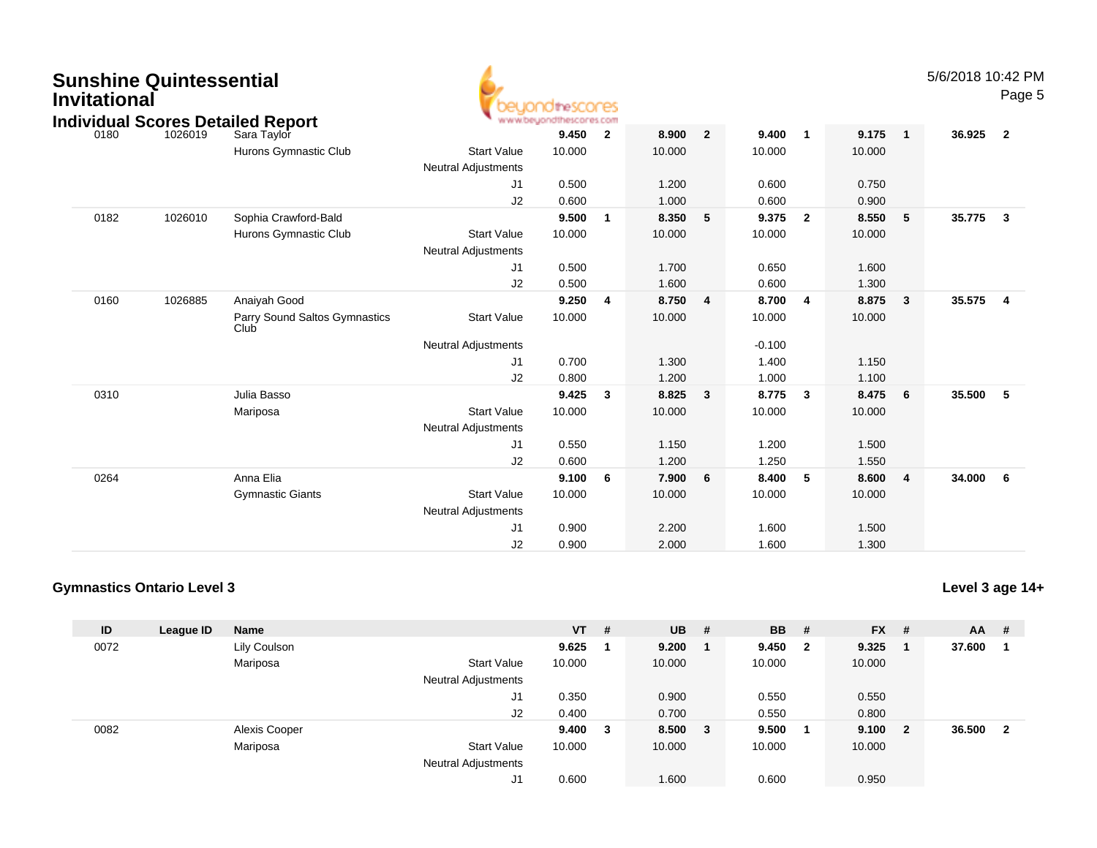| <b>Invitational</b> | <b>Sunshine Quintessential</b> | <b>Individual Scores Detailed Report</b> |                                                  | beuondthescores<br>www.beyondthescores.com |                |        |                |          |                         |        |                         | 5/6/2018 10:42 PM | Page 5                  |
|---------------------|--------------------------------|------------------------------------------|--------------------------------------------------|--------------------------------------------|----------------|--------|----------------|----------|-------------------------|--------|-------------------------|-------------------|-------------------------|
| 0180                | 1026019                        | Sara Taylor                              |                                                  | 9.450                                      | $\overline{2}$ | 8.900  | $\overline{2}$ | 9.400    | $\overline{\mathbf{1}}$ | 9.175  | $\mathbf{1}$            | 36.925            | $\overline{\mathbf{2}}$ |
|                     |                                | Hurons Gymnastic Club                    | <b>Start Value</b><br><b>Neutral Adjustments</b> | 10.000                                     |                | 10.000 |                | 10.000   |                         | 10.000 |                         |                   |                         |
|                     |                                |                                          | J1                                               | 0.500                                      |                | 1.200  |                | 0.600    |                         | 0.750  |                         |                   |                         |
|                     |                                |                                          | J2                                               | 0.600                                      |                | 1.000  |                | 0.600    |                         | 0.900  |                         |                   |                         |
| 0182                | 1026010                        | Sophia Crawford-Bald                     |                                                  | 9.500                                      | $\overline{1}$ | 8.350  | 5              | 9.375    | $\overline{2}$          | 8.550  | 5                       | 35.775            | $\overline{\mathbf{3}}$ |
|                     |                                | Hurons Gymnastic Club                    | <b>Start Value</b>                               | 10.000                                     |                | 10.000 |                | 10.000   |                         | 10.000 |                         |                   |                         |
|                     |                                |                                          | <b>Neutral Adjustments</b>                       |                                            |                |        |                |          |                         |        |                         |                   |                         |
|                     |                                |                                          | J1                                               | 0.500                                      |                | 1.700  |                | 0.650    |                         | 1.600  |                         |                   |                         |
|                     |                                |                                          | J2                                               | 0.500                                      |                | 1.600  |                | 0.600    |                         | 1.300  |                         |                   |                         |
| 0160                | 1026885                        | Anaiyah Good                             |                                                  | 9.250                                      | 4              | 8.750  | $\overline{4}$ | 8.700    | 4                       | 8.875  | $\mathbf{3}$            | 35.575            | $\overline{4}$          |
|                     |                                | Parry Sound Saltos Gymnastics<br>Club    | <b>Start Value</b>                               | 10.000                                     |                | 10.000 |                | 10.000   |                         | 10.000 |                         |                   |                         |
|                     |                                |                                          | <b>Neutral Adjustments</b>                       |                                            |                |        |                | $-0.100$ |                         |        |                         |                   |                         |
|                     |                                |                                          | J1                                               | 0.700                                      |                | 1.300  |                | 1.400    |                         | 1.150  |                         |                   |                         |
|                     |                                |                                          | J2                                               | 0.800                                      |                | 1.200  |                | 1.000    |                         | 1.100  |                         |                   |                         |
| 0310                |                                | Julia Basso                              |                                                  | 9.425                                      | $\mathbf{3}$   | 8.825  | $\mathbf{3}$   | 8.775    | $\mathbf{3}$            | 8.475  | 6                       | 35.500            | 5                       |
|                     |                                | Mariposa                                 | <b>Start Value</b>                               | 10.000                                     |                | 10.000 |                | 10.000   |                         | 10.000 |                         |                   |                         |
|                     |                                |                                          | <b>Neutral Adjustments</b>                       |                                            |                |        |                |          |                         |        |                         |                   |                         |
|                     |                                |                                          | J1                                               | 0.550                                      |                | 1.150  |                | 1.200    |                         | 1.500  |                         |                   |                         |
|                     |                                |                                          | J2                                               | 0.600                                      |                | 1.200  |                | 1.250    |                         | 1.550  |                         |                   |                         |
| 0264                |                                | Anna Elia                                |                                                  | 9.100                                      | 6              | 7.900  | 6              | 8.400    | 5                       | 8.600  | $\overline{\mathbf{4}}$ | 34.000            | - 6                     |
|                     |                                | <b>Gymnastic Giants</b>                  | <b>Start Value</b>                               | 10.000                                     |                | 10.000 |                | 10.000   |                         | 10.000 |                         |                   |                         |
|                     |                                |                                          | <b>Neutral Adjustments</b>                       |                                            |                |        |                |          |                         |        |                         |                   |                         |
|                     |                                |                                          | J1                                               | 0.900                                      |                | 2.200  |                | 1.600    |                         | 1.500  |                         |                   |                         |
|                     |                                |                                          | J2                                               | 0.900                                      |                | 2.000  |                | 1.600    |                         | 1.300  |                         |                   |                         |

## **Gymnastics Ontario Level 3**

**Level 3 age 14+**

| ID   | League ID | <b>Name</b>   |                            | $VT$ # |     | <b>UB</b> | # | <b>BB</b> | #                       | <b>FX</b> | #              | $AA$ # |             |
|------|-----------|---------------|----------------------------|--------|-----|-----------|---|-----------|-------------------------|-----------|----------------|--------|-------------|
| 0072 |           | Lily Coulson  |                            | 9.625  |     | 9.200     |   | 9.450     | $\overline{\mathbf{2}}$ | 9.325     | 1              | 37.600 |             |
|      |           | Mariposa      | <b>Start Value</b>         | 10.000 |     | 10.000    |   | 10.000    |                         | 10.000    |                |        |             |
|      |           |               | <b>Neutral Adjustments</b> |        |     |           |   |           |                         |           |                |        |             |
|      |           |               | J1                         | 0.350  |     | 0.900     |   | 0.550     |                         | 0.550     |                |        |             |
|      |           |               | J2                         | 0.400  |     | 0.700     |   | 0.550     |                         | 0.800     |                |        |             |
| 0082 |           | Alexis Cooper |                            | 9.400  | - 3 | 8.500 3   |   | 9.500     |                         | 9.100     | $\overline{2}$ | 36.500 | $\mathbf 2$ |
|      |           | Mariposa      | <b>Start Value</b>         | 10.000 |     | 10.000    |   | 10.000    |                         | 10.000    |                |        |             |
|      |           |               | <b>Neutral Adjustments</b> |        |     |           |   |           |                         |           |                |        |             |
|      |           |               | J1                         | 0.600  |     | 1.600     |   | 0.600     |                         | 0.950     |                |        |             |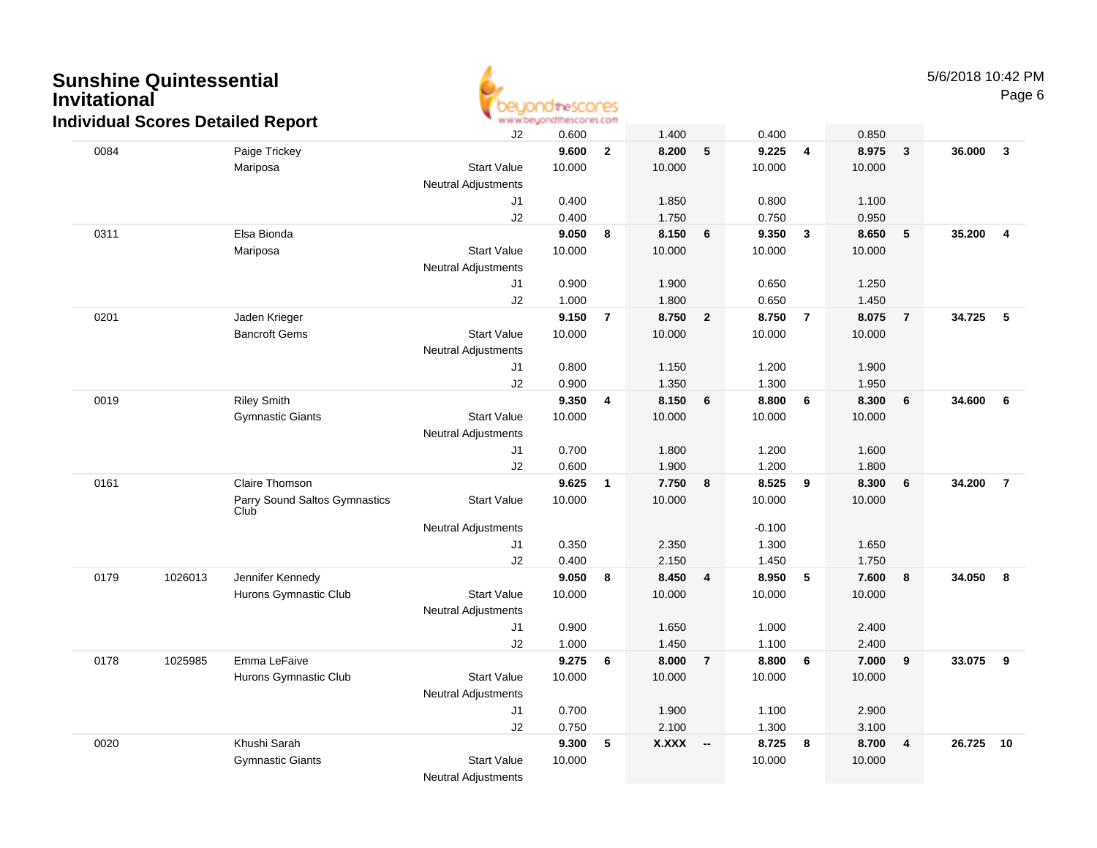## **Sunshine QuintessentialInvitationalIndividual Scores Detailed Report**



|      |         | idividual Scores Detailed Report |                                  | <b>BETH YRAUDI WAR PUT PESAULI MS. LAUT</b> |                |           |                 |          |                |                |                |        |                |
|------|---------|----------------------------------|----------------------------------|---------------------------------------------|----------------|-----------|-----------------|----------|----------------|----------------|----------------|--------|----------------|
|      |         |                                  | J2                               | 0.600                                       |                | 1.400     |                 | 0.400    |                | 0.850          |                |        |                |
| 0084 |         | Paige Trickey                    |                                  | 9.600                                       | $\mathbf{2}$   | 8.200     | $5\phantom{.0}$ | 9.225    | 4              | 8.975          | $\mathbf{3}$   | 36.000 | $\mathbf{3}$   |
|      |         | Mariposa                         | <b>Start Value</b>               | 10.000                                      |                | 10.000    |                 | 10.000   |                | 10.000         |                |        |                |
|      |         |                                  | <b>Neutral Adjustments</b>       |                                             |                |           |                 |          |                |                |                |        |                |
|      |         |                                  | J1                               | 0.400                                       |                | 1.850     |                 | 0.800    |                | 1.100          |                |        |                |
|      |         |                                  | J2                               | 0.400                                       |                | 1.750     |                 | 0.750    |                | 0.950          |                |        |                |
| 0311 |         | Elsa Bionda                      |                                  | 9.050                                       | 8              | 8.150     | 6               | 9.350    | $\mathbf{3}$   | 8.650          | $5\phantom{1}$ | 35.200 | $\overline{4}$ |
|      |         | Mariposa                         | <b>Start Value</b>               | 10.000                                      |                | 10.000    |                 | 10.000   |                | 10.000         |                |        |                |
|      |         |                                  | <b>Neutral Adjustments</b>       |                                             |                |           |                 |          |                |                |                |        |                |
|      |         |                                  | J1                               | 0.900                                       |                | 1.900     |                 | 0.650    |                | 1.250          |                |        |                |
|      |         |                                  | J2                               | 1.000                                       |                | 1.800     |                 | 0.650    |                | 1.450          |                |        |                |
| 0201 |         | Jaden Krieger                    |                                  | 9.150                                       | $\overline{7}$ | 8.750     | $\mathbf{2}$    | 8.750    | $\overline{7}$ | 8.075          | $\overline{7}$ | 34.725 | -5             |
|      |         | <b>Bancroft Gems</b>             | <b>Start Value</b>               | 10.000                                      |                | 10.000    |                 | 10.000   |                | 10.000         |                |        |                |
|      |         |                                  | <b>Neutral Adjustments</b><br>J1 | 0.800                                       |                | 1.150     |                 | 1.200    |                | 1.900          |                |        |                |
|      |         |                                  | J2                               | 0.900                                       |                | 1.350     |                 | 1.300    |                | 1.950          |                |        |                |
| 0019 |         | <b>Riley Smith</b>               |                                  | 9.350                                       | 4              | 8.150     | 6               | 8.800    | 6              | 8.300          | 6              | 34.600 | 6              |
|      |         | <b>Gymnastic Giants</b>          | <b>Start Value</b>               | 10.000                                      |                | 10.000    |                 | 10.000   |                | 10.000         |                |        |                |
|      |         |                                  | <b>Neutral Adjustments</b>       |                                             |                |           |                 |          |                |                |                |        |                |
|      |         |                                  | J1                               | 0.700                                       |                | 1.800     |                 | 1.200    |                | 1.600          |                |        |                |
|      |         |                                  | J2                               | 0.600                                       |                | 1.900     |                 | 1.200    |                | 1.800          |                |        |                |
| 0161 |         | Claire Thomson                   |                                  | 9.625                                       | $\mathbf{1}$   | 7.750     | 8               | 8.525    | 9              | 8.300          | 6              | 34.200 | $\overline{7}$ |
|      |         | Parry Sound Saltos Gymnastics    | <b>Start Value</b>               | 10.000                                      |                | 10.000    |                 | 10.000   |                | 10.000         |                |        |                |
|      |         | Club <sup>1</sup>                |                                  |                                             |                |           |                 |          |                |                |                |        |                |
|      |         |                                  | <b>Neutral Adjustments</b>       |                                             |                |           |                 | $-0.100$ |                |                |                |        |                |
|      |         |                                  | J1                               | 0.350                                       |                | 2.350     |                 | 1.300    |                | 1.650          |                |        |                |
|      |         |                                  | J2                               | 0.400                                       |                | 2.150     |                 | 1.450    |                | 1.750          |                |        |                |
| 0179 | 1026013 | Jennifer Kennedy                 |                                  | 9.050                                       | 8              | 8.450     | 4               | 8.950    | 5              | 7.600          | 8              | 34.050 | - 8            |
|      |         | Hurons Gymnastic Club            | <b>Start Value</b>               | 10.000                                      |                | 10.000    |                 | 10.000   |                | 10.000         |                |        |                |
|      |         |                                  | <b>Neutral Adjustments</b>       |                                             |                |           |                 |          |                |                |                |        |                |
|      |         |                                  | J1                               | 0.900                                       |                | 1.650     |                 | 1.000    |                | 2.400          |                |        |                |
|      |         |                                  | J2                               | 1.000                                       |                | 1.450     |                 | 1.100    |                | 2.400          |                |        |                |
| 0178 | 1025985 | Emma LeFaive                     |                                  | 9.275                                       | 6              | 8.000     | $\overline{7}$  | 8.800    | 6              | 7.000          | 9              | 33.075 | 9              |
|      |         | Hurons Gymnastic Club            | <b>Start Value</b>               | 10.000                                      |                | 10.000    |                 | 10.000   |                | 10.000         |                |        |                |
|      |         |                                  | <b>Neutral Adjustments</b>       | 0.700                                       |                | 1.900     |                 | 1.100    |                |                |                |        |                |
|      |         |                                  | J1<br>J2                         | 0.750                                       |                | 2.100     |                 | 1.300    |                | 2.900<br>3.100 |                |        |                |
| 0020 |         | Khushi Sarah                     |                                  | 9.300                                       | 5              | $X.XXX$ - |                 | 8.725    | 8              | 8.700          | $\overline{4}$ | 26.725 | 10             |
|      |         | <b>Gymnastic Giants</b>          | <b>Start Value</b>               | 10.000                                      |                |           |                 | 10.000   |                | 10.000         |                |        |                |
|      |         |                                  | <b>Neutral Adjustments</b>       |                                             |                |           |                 |          |                |                |                |        |                |
|      |         |                                  |                                  |                                             |                |           |                 |          |                |                |                |        |                |